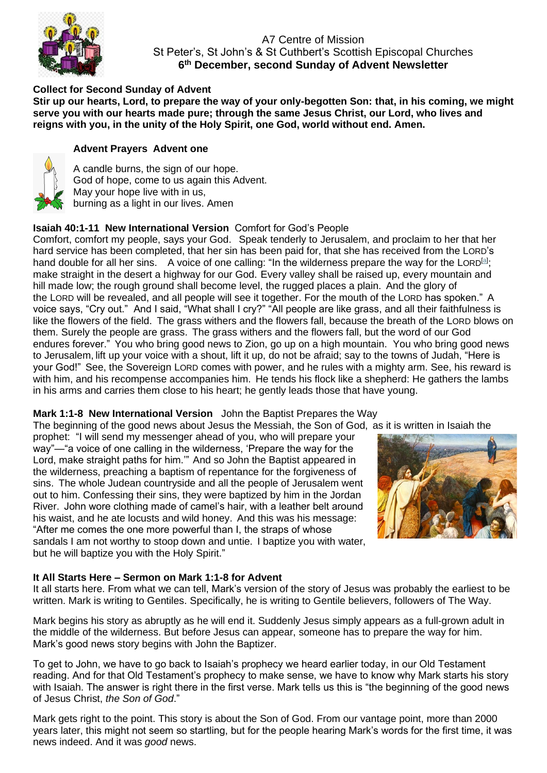

A7 Centre of Mission St Peter's, St John's & St Cuthbert's Scottish Episcopal Churches **6 th December, second Sunday of Advent Newsletter**

## **Collect for Second Sunday of Advent**

**Stir up our hearts, Lord, to prepare the way of your only-begotten Son: that, in his coming, we might serve you with our hearts made pure; through the same Jesus Christ, our Lord, who lives and reigns with you, in the unity of the Holy Spirit, one God, world without end. Amen.**

## **Advent Prayers Advent one**



A candle burns, the sign of our hope. God of hope, come to us again this Advent. May your hope live with in us,

burning as a light in our lives. Amen

# **Isaiah 40:1-11 New International Version** Comfort for God's People

Comfort, comfort my people, says your God. Speak tenderly to Jerusalem, and proclaim to her that her hard service has been completed, that her sin has been paid for, that she has received from the LORD's hand double for all her sins. A voice of one calling: "In the wilderness prepare the way for the LORD<sup>[\[a\]](https://www.biblegateway.com/passage/?search=Isaiah+40%3A+1-11&version=NIV#fen-NIV-18424a)</sup>; make straight in the desert a highway for our God. Every valley shall be raised up, every mountain and hill made low; the rough ground shall become level, the rugged places a plain. And the glory of the LORD will be revealed, and all people will see it together. For the mouth of the LORD has spoken." A voice says, "Cry out." And I said, "What shall I cry?" "All people are like grass, and all their faithfulness is like the flowers of the field. The grass withers and the flowers fall, because the breath of the LORD blows on them. Surely the people are grass. The grass withers and the flowers fall, but the word of our God endures forever." You who bring good news to Zion, go up on a high mountain. You who bring good news to Jerusalem, lift up your voice with a shout, lift it up, do not be afraid; say to the towns of Judah, "Here is your God!" See, the Sovereign LORD comes with power, and he rules with a mighty arm. See, his reward is with him, and his recompense accompanies him. He tends his flock like a shepherd: He gathers the lambs in his arms and carries them close to his heart; he gently leads those that have young.

## **Mark 1:1-8 New International Version** John the Baptist Prepares the Way

The beginning of the good news about Jesus the Messiah, the Son of God, as it is written in Isaiah the

prophet: "I will send my messenger ahead of you, who will prepare your way"—"a voice of one calling in the wilderness, 'Prepare the way for the Lord, make straight paths for him.'" And so John the Baptist appeared in the wilderness, preaching a baptism of repentance for the forgiveness of sins. The whole Judean countryside and all the people of Jerusalem went out to him. Confessing their sins, they were baptized by him in the Jordan River. John wore clothing made of camel's hair, with a leather belt around his waist, and he ate locusts and wild honey. And this was his message: "After me comes the one more powerful than I, the straps of whose sandals I am not worthy to stoop down and untie. I baptize you with water, but he will baptize you with the Holy Spirit."



## **It All Starts Here – Sermon on Mark 1:1-8 for Advent**

It all starts here. From what we can tell, Mark's version of the story of Jesus was probably the earliest to be written. Mark is writing to Gentiles. Specifically, he is writing to Gentile believers, followers of The Way.

Mark begins his story as abruptly as he will end it. Suddenly Jesus simply appears as a full-grown adult in the middle of the wilderness. But before Jesus can appear, someone has to prepare the way for him. Mark's good news story begins with John the Baptizer.

To get to John, we have to go back to Isaiah's prophecy we heard earlier today, in our Old Testament reading. And for that Old Testament's prophecy to make sense, we have to know why Mark starts his story with Isaiah. The answer is right there in the first verse. Mark tells us this is "the beginning of the good news of Jesus Christ, *the Son of God*."

Mark gets right to the point. This story is about the Son of God. From our vantage point, more than 2000 years later, this might not seem so startling, but for the people hearing Mark's words for the first time, it was news indeed. And it was *good* news.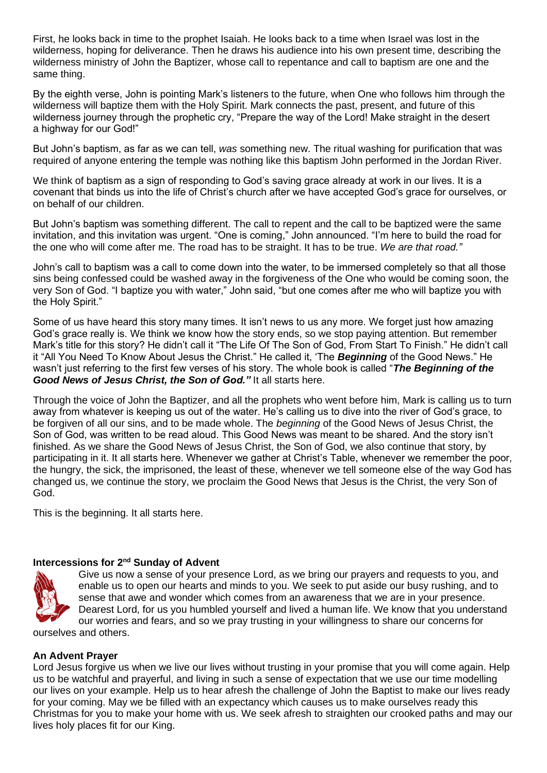First, he looks back in time to the prophet Isaiah. He looks back to a time when Israel was lost in the wilderness, hoping for deliverance. Then he draws his audience into his own present time, describing the wilderness ministry of John the Baptizer, whose call to repentance and call to baptism are one and the same thing.

By the eighth verse, John is pointing Mark's listeners to the future, when One who follows him through the wilderness will baptize them with the Holy Spirit. Mark connects the past, present, and future of this wilderness journey through the prophetic cry, "Prepare the way of the Lord! Make straight in the desert a highway for our God!"

But John's baptism, as far as we can tell, *was* something new. The ritual washing for purification that was required of anyone entering the temple was nothing like this baptism John performed in the Jordan River.

We think of baptism as a sign of responding to God's saving grace already at work in our lives. It is a covenant that binds us into the life of Christ's church after we have accepted God's grace for ourselves, or on behalf of our children.

But John's baptism was something different. The call to repent and the call to be baptized were the same invitation, and this invitation was urgent. "One is coming," John announced. "I'm here to build the road for the one who will come after me. The road has to be straight. It has to be true. *We are that road."*

John's call to baptism was a call to come down into the water, to be immersed completely so that all those sins being confessed could be washed away in the forgiveness of the One who would be coming soon, the very Son of God. "I baptize you with water," John said, "but one comes after me who will baptize you with the Holy Spirit."

Some of us have heard this story many times. It isn't news to us any more. We forget just how amazing God's grace really is. We think we know how the story ends, so we stop paying attention. But remember Mark's title for this story? He didn't call it "The Life Of The Son of God, From Start To Finish." He didn't call it "All You Need To Know About Jesus the Christ." He called it, 'The *Beginning* of the Good News." He wasn't just referring to the first few verses of his story. The whole book is called "*The Beginning of the Good News of Jesus Christ, the Son of God."* It all starts here.

Through the voice of John the Baptizer, and all the prophets who went before him, Mark is calling us to turn away from whatever is keeping us out of the water. He's calling us to dive into the river of God's grace, to be forgiven of all our sins, and to be made whole. The *beginning* of the Good News of Jesus Christ, the Son of God, was written to be read aloud. This Good News was meant to be shared. And the story isn't finished. As we share the Good News of Jesus Christ, the Son of God, we also continue that story, by participating in it. It all starts here. Whenever we gather at Christ's Table, whenever we remember the poor, the hungry, the sick, the imprisoned, the least of these, whenever we tell someone else of the way God has changed us, we continue the story, we proclaim the Good News that Jesus is the Christ, the very Son of God.

This is the beginning. It all starts here.

## **Intercessions for 2nd Sunday of Advent**



Give us now a sense of your presence Lord, as we bring our prayers and requests to you, and enable us to open our hearts and minds to you. We seek to put aside our busy rushing, and to sense that awe and wonder which comes from an awareness that we are in your presence. Dearest Lord, for us you humbled yourself and lived a human life. We know that you understand our worries and fears, and so we pray trusting in your willingness to share our concerns for

ourselves and others.

#### **An Advent Prayer**

Lord Jesus forgive us when we live our lives without trusting in your promise that you will come again. Help us to be watchful and prayerful, and living in such a sense of expectation that we use our time modelling our lives on your example. Help us to hear afresh the challenge of John the Baptist to make our lives ready for your coming. May we be filled with an expectancy which causes us to make ourselves ready this Christmas for you to make your home with us. We seek afresh to straighten our crooked paths and may our lives holy places fit for our King.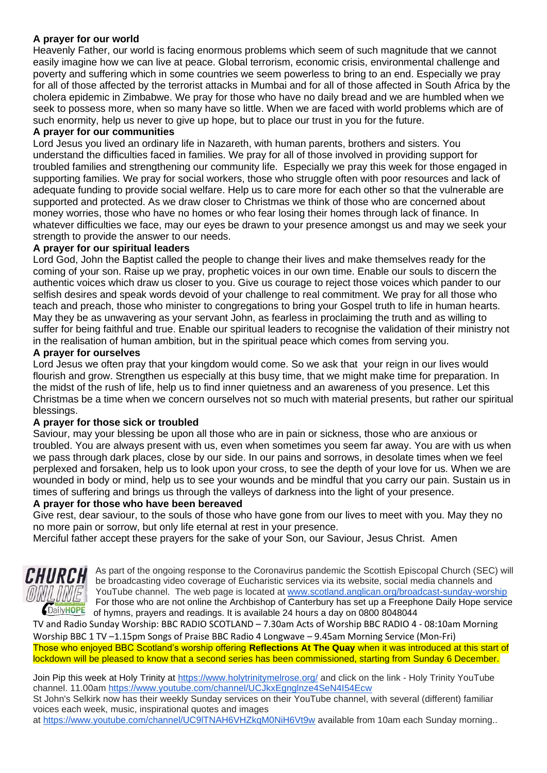# **A prayer for our world**

Heavenly Father, our world is facing enormous problems which seem of such magnitude that we cannot easily imagine how we can live at peace. Global terrorism, economic crisis, environmental challenge and poverty and suffering which in some countries we seem powerless to bring to an end. Especially we pray for all of those affected by the terrorist attacks in Mumbai and for all of those affected in South Africa by the cholera epidemic in Zimbabwe. We pray for those who have no daily bread and we are humbled when we seek to possess more, when so many have so little. When we are faced with world problems which are of such enormity, help us never to give up hope, but to place our trust in you for the future.

## **A prayer for our communities**

Lord Jesus you lived an ordinary life in Nazareth, with human parents, brothers and sisters. You understand the difficulties faced in families. We pray for all of those involved in providing support for troubled families and strengthening our community life. Especially we pray this week for those engaged in supporting families. We pray for social workers, those who struggle often with poor resources and lack of adequate funding to provide social welfare. Help us to care more for each other so that the vulnerable are supported and protected. As we draw closer to Christmas we think of those who are concerned about money worries, those who have no homes or who fear losing their homes through lack of finance. In whatever difficulties we face, may our eyes be drawn to your presence amongst us and may we seek your strength to provide the answer to our needs.

## **A prayer for our spiritual leaders**

Lord God, John the Baptist called the people to change their lives and make themselves ready for the coming of your son. Raise up we pray, prophetic voices in our own time. Enable our souls to discern the authentic voices which draw us closer to you. Give us courage to reject those voices which pander to our selfish desires and speak words devoid of your challenge to real commitment. We pray for all those who teach and preach, those who minister to congregations to bring your Gospel truth to life in human hearts. May they be as unwavering as your servant John, as fearless in proclaiming the truth and as willing to suffer for being faithful and true. Enable our spiritual leaders to recognise the validation of their ministry not in the realisation of human ambition, but in the spiritual peace which comes from serving you.

## **A prayer for ourselves**

Lord Jesus we often pray that your kingdom would come. So we ask that your reign in our lives would flourish and grow. Strengthen us especially at this busy time, that we might make time for preparation. In the midst of the rush of life, help us to find inner quietness and an awareness of you presence. Let this Christmas be a time when we concern ourselves not so much with material presents, but rather our spiritual blessings.

## **A prayer for those sick or troubled**

Saviour, may your blessing be upon all those who are in pain or sickness, those who are anxious or troubled. You are always present with us, even when sometimes you seem far away. You are with us when we pass through dark places, close by our side. In our pains and sorrows, in desolate times when we feel perplexed and forsaken, help us to look upon your cross, to see the depth of your love for us. When we are wounded in body or mind, help us to see your wounds and be mindful that you carry our pain. Sustain us in times of suffering and brings us through the valleys of darkness into the light of your presence.

## **A prayer for those who have been bereaved**

Give rest, dear saviour, to the souls of those who have gone from our lives to meet with you. May they no no more pain or sorrow, but only life eternal at rest in your presence.

Merciful father accept these prayers for the sake of your Son, our Saviour, Jesus Christ. Amen



As part of the ongoing response to the Coronavirus pandemic the Scottish Episcopal Church (SEC) will be broadcasting video coverage of Eucharistic services via its website, social media channels and YouTube channel. The web page is located at [www.scotland.anglican.org/broadcast-sunday-worship](http://www.scotland.anglican.org/broadcast-sunday-worship) For those who are not online the Archbishop of Canterbury has set up a Freephone Daily Hope service Daily HOPE of hymns, prayers and readings. It is available 24 hours a day on 0800 8048044

TV and Radio Sunday Worship: BBC RADIO SCOTLAND – 7.30am Acts of Worship BBC RADIO 4 - 08:10am Morning Worship BBC 1 TV –1.15pm Songs of Praise BBC Radio 4 Longwave – 9.45am Morning Service (Mon-Fri) Those who enjoyed BBC Scotland's worship offering **Reflections At The Quay** when it was introduced at this start of lockdown will be pleased to know that a second series has been commissioned, starting from Sunday 6 December.

Join Pip this week at Holy Trinity at<https://www.holytrinitymelrose.org/> and click on the link - Holy Trinity YouTube channel. 11.00am<https://www.youtube.com/channel/UCJkxEgnglnze4SeN4I54Ecw>

St John's Selkirk now has their weekly Sunday services on their YouTube channel, with several (different) familiar voices each week, music, inspirational quotes and images

at <https://www.youtube.com/channel/UC9lTNAH6VHZkqM0NiH6Vt9w> available from 10am each Sunday morning..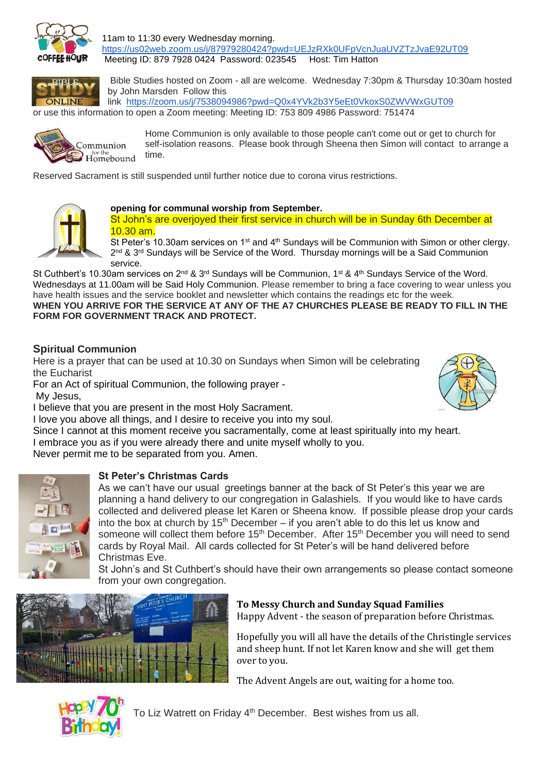

11am to 11:30 every Wednesday morning. <https://us02web.zoom.us/j/87979280424?pwd=UEJzRXk0UFpVcnJuaUVZTzJvaE92UT09> Meeting ID: 879 7928 0424 Password: 023545 Host: Tim Hatton



Bible Studies hosted on Zoom - all are welcome. Wednesday 7:30pm & Thursday 10:30am hosted by John Marsden Follow this

link <https://zoom.us/j/7538094986?pwd=Q0x4YVk2b3Y5eEt0VkoxS0ZWVWxGUT09> or use this information to open a Zoom meeting: Meeting ID: 753 809 4986 Password: 751474



Home Communion is only available to those people can't come out or get to church for self-isolation reasons. Please book through Sheena then Simon will contact to arrange a time.

Reserved Sacrament is still suspended until further notice due to corona virus restrictions.



#### **opening for communal worship from September[.](https://l.facebook.com/l.php?u=https%3A%2F%2Fwww.strava.com%2Factivities%2F4115144364%3Ffbclid%3DIwAR2dp0V7bZw56KZNe7vvvP6qvLImkA5BNccKKFT60WPFMxOmexhBDMqE1hk&h=AT06T4e_7h6ZApB1oGWjk7pLBQ-K3FrXkDzPu-3dIUW9Yq2uWgVHvA1iH9D2G0qHAEzsVf6iZSPLYjt6IIPAEnVxcjXeHb_PKNtCimTKWYec9eSyBG-fhPgCt_GQiLPKta1r&__tn__=H-R&c%5b0%5d=AT0geC5tx4HBtnuUp3gCeEzYdFpe7hKghWt3IPt71OMD54KpTLRZ2BoA0MuMeWwHlfudxO2cBtPJ9so98nMDTcbxTJGAgh-8HbIfpS2DmXnwskBFa3Rkq0KNMefG4EVpFLNqSFOwfcU5q9TBFeRBz7HaUNslyrmv_jq4-z_aqyrBursxAXDT8wGoXyLBHCyTB8npD5HEm393dr1yc9xU8_Tzaw)**

St John's are overjoyed their first service in church will be in Sunday 6th December at 10.30 am.

St Peter's 10.30am services on 1<sup>st</sup> and  $4<sup>th</sup>$  Sundays will be Communion with Simon or other clergy. 2<sup>nd</sup> & 3<sup>rd</sup> Sundays will be Service of the Word. Thursday mornings will be a Said Communion service.

St Cuthbert's 10.30am services on 2<sup>nd</sup> & 3<sup>rd</sup> Sundays will be Communion, 1<sup>st</sup> & 4<sup>th</sup> Sundays Service of the Word. Wednesdays at 11.00am will be Said Holy Communion. Please remember to bring a face covering to wear unless you have health issues and the service booklet and newsletter which contains the readings etc for the week.

**WHEN YOU ARRIVE FOR THE SERVICE AT ANY OF THE A7 CHURCHES PLEASE BE READY TO FILL IN THE FORM FOR GOVERNMENT TRACK AND PROTECT.** 

# **Spiritual Communion**

Here is a prayer that can be used at 10.30 on Sundays when Simon will be celebrating the Eucharist

For an Act of spiritual Communion, the following prayer -

My Jesus,

I believe that you are present in the most Holy Sacrament.

I love you above all things, and I desire to receive you into my soul.

Since I cannot at this moment receive you sacramentally, come at least spiritually into my heart.

I embrace you as if you were already there and unite myself wholly to you.

Never permit me to be separated from you. Amen.



# **St Peter's Christmas Cards**

As we can't have our usual greetings banner at the back of St Peter's this year we are planning a hand delivery to our congregation in Galashiels. If you would like to have cards collected and delivered please let Karen or Sheena know. If possible please drop your cards into the box at church by 15<sup>th</sup> December – if you aren't able to do this let us know and someone will collect them before 15<sup>th</sup> December. After 15<sup>th</sup> December you will need to send cards by Royal Mail. All cards collected for St Peter's will be hand delivered before Christmas Eve.

St John's and St Cuthbert's should have their own arrangements so please contact someone from your own congregation.



## **To Messy Church and Sunday Squad Families**

Happy Advent - the season of preparation before Christmas.

Hopefully you will all have the details of the Christingle services and sheep hunt. If not let Karen know and she will get them over to you.

The Advent Angels are out, waiting for a home too.



To Liz Watrett on Friday 4<sup>th</sup> December. Best wishes from us all.

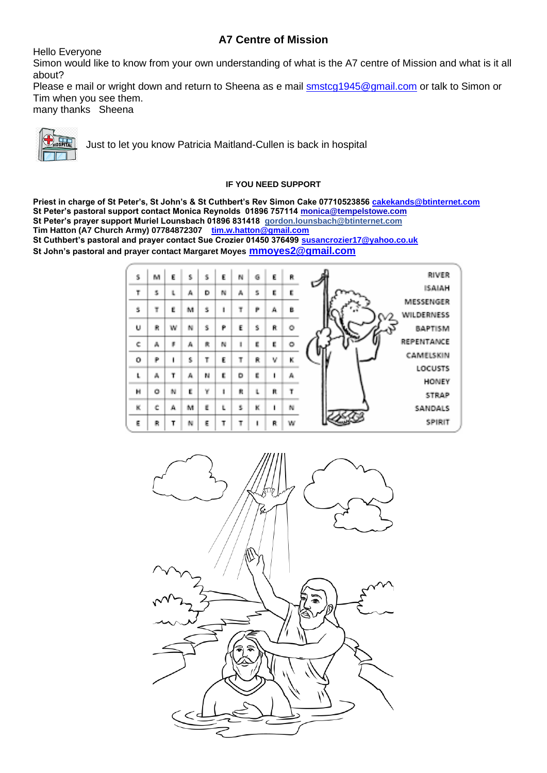# **A7 Centre of Mission**

Hello Everyone

Simon would like to know from your own understanding of what is the A7 centre of Mission and what is it all about?

Please e mail or wright down and return to Sheena as e mail [smstcg1945@gmail.com](mailto:smstcg1945@gmail.com) or talk to Simon or Tim when you see them.

many thanks Sheena



Just to let you know Patricia Maitland-Cullen is back in hospital

#### **IF YOU NEED SUPPORT**

**Priest in charge of St Peter's, St John's & St Cuthbert's Rev Simon Cake 07710523856 [cakekands@btinternet.com](mailto:cakekands@btinternet.com) St Peter's pastoral support contact Monica Reynolds 01896 757114 [monica@tempelstowe.com](mailto:monica@tempelstowe.com) St Peter's prayer support Muriel Lounsbach 01896 831418 gordon.lounsbach@btinternet.com Tim Hatton (A7 Church Army) 07784872307 [tim.w.hatton@gmail.com](mailto:tim.w.hutton@gmail.com) St Cuthbert's pastoral and prayer contact Sue Crozier 01450 376499 [susancrozier17@yahoo.co.uk](mailto:susancrozier17@yahoo.co.uk) St John's pastoral and prayer contact Margaret Moyes [mmoyes2@gmail.com](mailto:mmoyes2@gmail.com)**

| š. | M  | Ε  | Š. | Š. | Ē  | N  | G. | Ē  | Ř. | <b>RIVER</b>        |
|----|----|----|----|----|----|----|----|----|----|---------------------|
| т  | 馬  | ü, | A. | D  | M  | Á  | Ś  | Ē  | E  | <b>ISAIAH</b>       |
|    |    |    |    |    |    |    |    |    |    | MESSENGER           |
| Ś, | т  | E  | M  | Ś. | D  | т  | p  | A  | B  | <b>WILDERNESS</b>   |
| U  | 撇  | W  | N  | s. | Ρ  | E. | š, | Ř  | ۰  | <b>BAPTISM</b>      |
| ¢  | ă. | p  | A  | 農  | M  | Ï  | D  | Ē  | O. | REPENTANCE          |
| Ω  | P  |    | S, |    | Ε  | Т  | R. | ٧  | ĸ  | CAMELSKIN<br>hang i |
| Ĺ. | ă. | Ŧ  | A  | N  | E, | D  | Ę  |    | A  | <b>LOCUSTS</b>      |
|    |    |    |    |    |    |    |    |    |    | <b>HONEY</b>        |
| 岡  | O  | M  | Е  | Y  | D  | 圃  | ü, | Ř. | Ŧ  | <b>STRAP</b>        |
| K  | c  | A  | M  | E  | ü, | Ś. | K. |    | 胸  | <b>SANDALS</b>      |
| E  | P. | Ŧ  | M. | E  | Т  | T  |    | R  | W  | <b>SPIRIT</b>       |